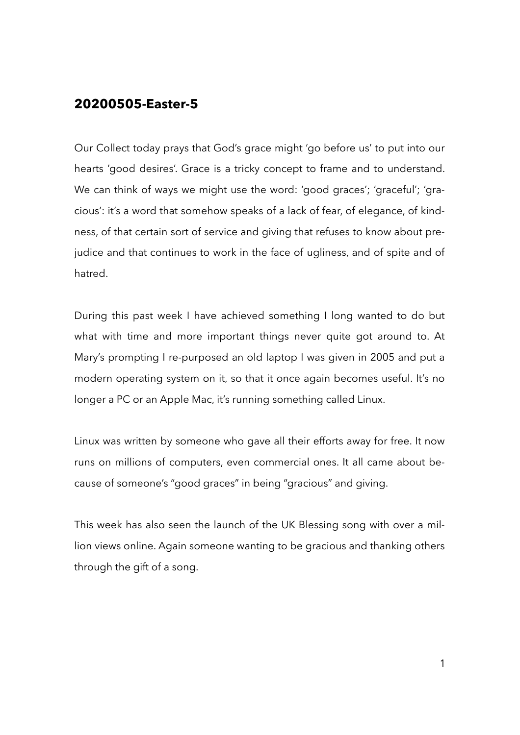## **20200505-Easter-5**

Our Collect today prays that God's grace might 'go before us' to put into our hearts 'good desires'. Grace is a tricky concept to frame and to understand. We can think of ways we might use the word: 'good graces'; 'graceful'; 'gracious': it's a word that somehow speaks of a lack of fear, of elegance, of kindness, of that certain sort of service and giving that refuses to know about prejudice and that continues to work in the face of ugliness, and of spite and of hatred.

During this past week I have achieved something I long wanted to do but what with time and more important things never quite got around to. At Mary's prompting I re-purposed an old laptop I was given in 2005 and put a modern operating system on it, so that it once again becomes useful. It's no longer a PC or an Apple Mac, it's running something called Linux.

Linux was written by someone who gave all their efforts away for free. It now runs on millions of computers, even commercial ones. It all came about because of someone's "good graces" in being "gracious" and giving.

This week has also seen the launch of the UK Blessing song with over a million views online. Again someone wanting to be gracious and thanking others through the gift of a song.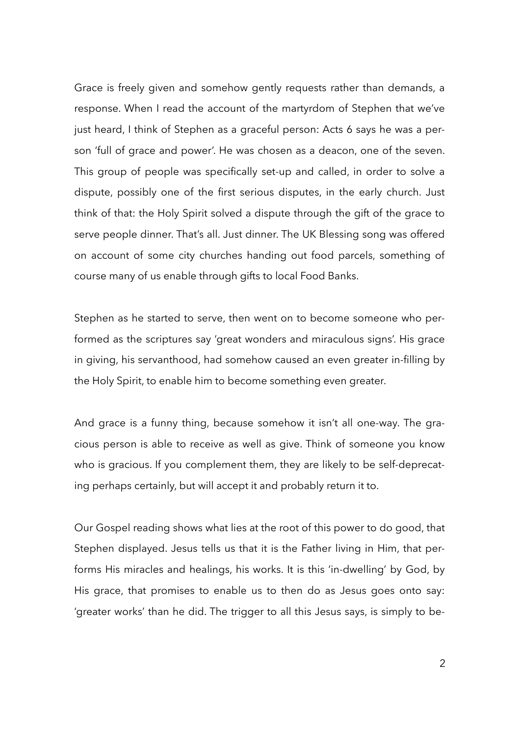Grace is freely given and somehow gently requests rather than demands, a response. When I read the account of the martyrdom of Stephen that we've just heard, I think of Stephen as a graceful person: Acts 6 says he was a person 'full of grace and power'. He was chosen as a deacon, one of the seven. This group of people was specifically set-up and called, in order to solve a dispute, possibly one of the first serious disputes, in the early church. Just think of that: the Holy Spirit solved a dispute through the gift of the grace to serve people dinner. That's all. Just dinner. The UK Blessing song was offered on account of some city churches handing out food parcels, something of course many of us enable through gifts to local Food Banks.

Stephen as he started to serve, then went on to become someone who performed as the scriptures say 'great wonders and miraculous signs'. His grace in giving, his servanthood, had somehow caused an even greater in-filling by the Holy Spirit, to enable him to become something even greater.

And grace is a funny thing, because somehow it isn't all one-way. The gracious person is able to receive as well as give. Think of someone you know who is gracious. If you complement them, they are likely to be self-deprecating perhaps certainly, but will accept it and probably return it to.

Our Gospel reading shows what lies at the root of this power to do good, that Stephen displayed. Jesus tells us that it is the Father living in Him, that performs His miracles and healings, his works. It is this 'in-dwelling' by God, by His grace, that promises to enable us to then do as Jesus goes onto say: 'greater works' than he did. The trigger to all this Jesus says, is simply to be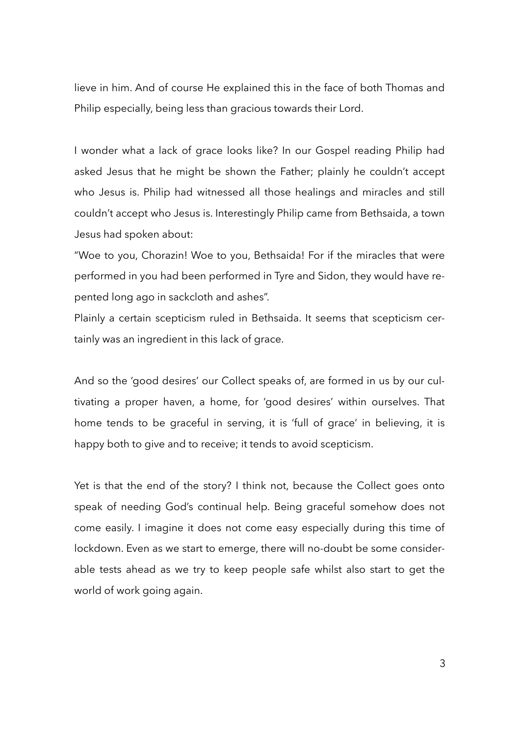lieve in him. And of course He explained this in the face of both Thomas and Philip especially, being less than gracious towards their Lord.

I wonder what a lack of grace looks like? In our Gospel reading Philip had asked Jesus that he might be shown the Father; plainly he couldn't accept who Jesus is. Philip had witnessed all those healings and miracles and still couldn't accept who Jesus is. Interestingly Philip came from Bethsaida, a town Jesus had spoken about:

"Woe to you, Chorazin! Woe to you, Bethsaida! For if the miracles that were performed in you had been performed in Tyre and Sidon, they would have repented long ago in sackcloth and ashes".

Plainly a certain scepticism ruled in Bethsaida. It seems that scepticism certainly was an ingredient in this lack of grace.

And so the 'good desires' our Collect speaks of, are formed in us by our cultivating a proper haven, a home, for 'good desires' within ourselves. That home tends to be graceful in serving, it is 'full of grace' in believing, it is happy both to give and to receive; it tends to avoid scepticism.

Yet is that the end of the story? I think not, because the Collect goes onto speak of needing God's continual help. Being graceful somehow does not come easily. I imagine it does not come easy especially during this time of lockdown. Even as we start to emerge, there will no-doubt be some considerable tests ahead as we try to keep people safe whilst also start to get the world of work going again.